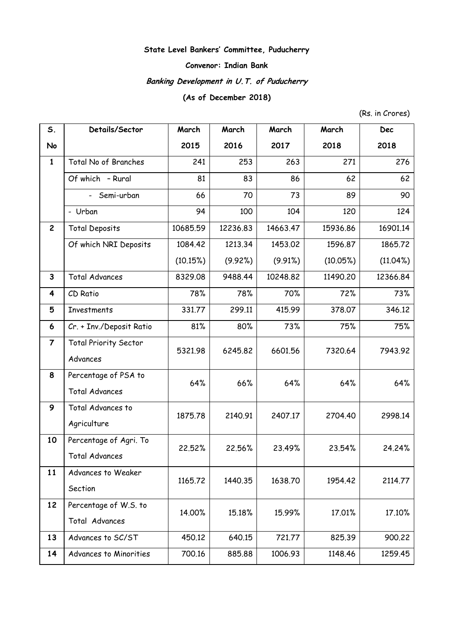## **State Level Bankers' Committee, Puducherry**

## **Convenor: Indian Bank**

# **Banking Development in U.T. of Puducherry**

## **(As of December 2018)**

(Rs. in Crores)

| S.                      | Details/Sector               | March    | March    | March    | March    | <b>Dec</b>  |
|-------------------------|------------------------------|----------|----------|----------|----------|-------------|
| No                      |                              | 2015     | 2016     | 2017     | 2018     | 2018        |
| $\mathbf{1}$            | Total No of Branches         | 241      | 253      | 263      | 271      | 276         |
|                         | Of which - Rural             | 81       | 83       | 86       | 62       | 62          |
|                         | - Semi-urban                 | 66       | 70       | 73       | 89       | 90          |
|                         | - Urban                      | 94       | 100      | 104      | 120      | 124         |
| $\mathbf{2}$            | <b>Total Deposits</b>        | 10685.59 | 12236.83 | 14663.47 | 15936.86 | 16901.14    |
|                         | Of which NRI Deposits        | 1084.42  | 1213.34  | 1453.02  | 1596.87  | 1865.72     |
|                         |                              | (10.15%) | (9.92%)  | (9.91%)  | (10.05%) | $(11.04\%)$ |
| $\mathbf{3}$            | <b>Total Advances</b>        | 8329.08  | 9488.44  | 10248.82 | 11490.20 | 12366.84    |
| 4                       | CD Ratio                     | 78%      | 78%      | 70%      | 72%      | 73%         |
| 5                       | Investments                  | 331.77   | 299.11   | 415.99   | 378.07   | 346.12      |
| 6                       | Cr. + Inv./Deposit Ratio     | 81%      | 80%      | 73%      | 75%      | 75%         |
| $\overline{\mathbf{7}}$ | <b>Total Priority Sector</b> | 5321.98  | 6245.82  | 6601.56  | 7320.64  | 7943.92     |
|                         | Advances                     |          |          |          |          |             |
| 8                       | Percentage of PSA to         | 64%      | 66%      | 64%      | 64%      | 64%         |
|                         | <b>Total Advances</b>        |          |          |          |          |             |
| 9                       | Total Advances to            | 1875.78  | 2140.91  | 2407.17  | 2704.40  | 2998.14     |
|                         | Agriculture                  |          |          |          |          |             |
| 10                      | Percentage of Agri. To       | 22.52%   | 22.56%   | 23.49%   | 23.54%   | 24.24%      |
|                         | <b>Total Advances</b>        |          |          |          |          |             |
| 11                      | Advances to Weaker           | 1165.72  | 1440.35  | 1638.70  | 1954.42  | 2114.77     |
|                         | Section                      |          |          |          |          |             |
| 12                      | Percentage of W.S. to        | 14.00%   | 15.18%   | 15.99%   | 17.01%   | 17.10%      |
|                         | Total Advances               |          |          |          |          |             |
| 13                      | Advances to SC/ST            | 450.12   | 640.15   | 721.77   | 825.39   | 900.22      |
| 14                      | Advances to Minorities       | 700.16   | 885.88   | 1006.93  | 1148.46  | 1259.45     |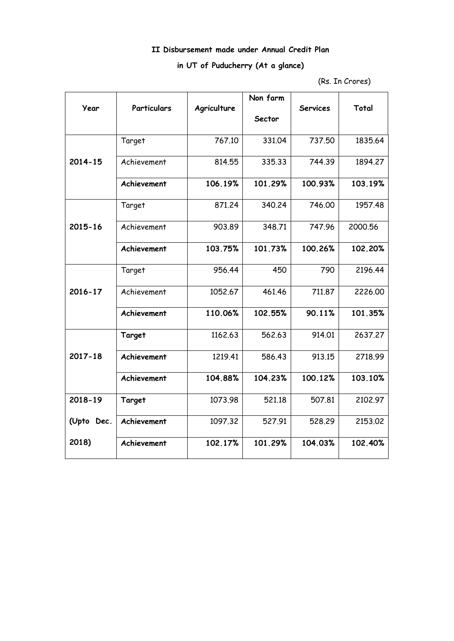## **II Disbursement made under Annual Credit Plan**

## **in UT of Puducherry (At a glance)**

<sup>(</sup>Rs. In Crores)

|             |                    |             | Non farm |                 |         |
|-------------|--------------------|-------------|----------|-----------------|---------|
| Year        | <b>Particulars</b> | Agriculture | Sector   | <b>Services</b> | Total   |
|             | Target             | 767.10      | 331.04   | 737.50          | 1835.64 |
| $2014 - 15$ | Achievement        | 814.55      | 335.33   | 744.39          | 1894.27 |
|             | Achievement        | 106.19%     | 101.29%  | 100.93%         | 103.19% |
|             | Target             | 871.24      | 340.24   | 746.00          | 1957.48 |
| 2015-16     | Achievement        | 903.89      | 348.71   | 747.96          | 2000.56 |
|             | Achievement        | 103.75%     | 101.73%  | 100.26%         | 102.20% |
|             | Target             | 956.44      | 450      | 790             | 2196.44 |
| $2016 - 17$ | Achievement        | 1052.67     | 461.46   | 711.87          | 2226.00 |
|             | Achievement        | 110.06%     | 102.55%  | 90.11%          | 101.35% |
|             | Target             | 1162.63     | 562.63   | 914.01          | 2637.27 |
| $2017 - 18$ | Achievement        | 1219.41     | 586.43   | 913.15          | 2718.99 |
|             | Achievement        | 104.88%     | 104.23%  | 100.12%         | 103.10% |
| 2018-19     | Target             | 1073.98     | 521.18   | 507.81          | 2102.97 |
| (Upto Dec.  | Achievement        | 1097.32     | 527.91   | 528.29          | 2153.02 |
| 2018)       | Achievement        | 102.17%     | 101.29%  | 104.03%         | 102.40% |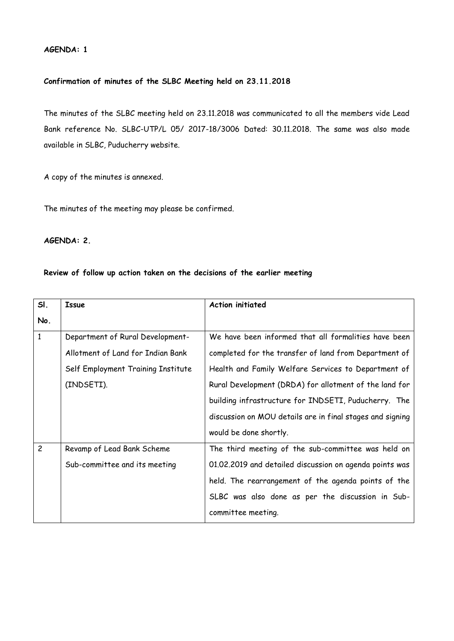## **AGENDA: 1**

## **Confirmation of minutes of the SLBC Meeting held on 23.11.2018**

The minutes of the SLBC meeting held on 23.11.2018 was communicated to all the members vide Lead Bank reference No. SLBC-UTP/L 05/ 2017-18/3006 Dated: 30.11.2018. The same was also made available in SLBC, Puducherry website.

A copy of the minutes is annexed.

The minutes of the meeting may please be confirmed.

## **AGENDA: 2.**

## **Review of follow up action taken on the decisions of the earlier meeting**

| SI.            | <b>Issue</b>                       | <b>Action initiated</b>                                   |
|----------------|------------------------------------|-----------------------------------------------------------|
| No.            |                                    |                                                           |
| $\mathbf{1}$   | Department of Rural Development-   | We have been informed that all formalities have been      |
|                | Allotment of Land for Indian Bank  | completed for the transfer of land from Department of     |
|                | Self Employment Training Institute | Health and Family Welfare Services to Department of       |
|                | (INDSETI).                         | Rural Development (DRDA) for allotment of the land for    |
|                |                                    | building infrastructure for INDSETI, Puducherry. The      |
|                |                                    | discussion on MOU details are in final stages and signing |
|                |                                    | would be done shortly.                                    |
| $\overline{c}$ | Revamp of Lead Bank Scheme         | The third meeting of the sub-committee was held on        |
|                | Sub-committee and its meeting      | 01.02.2019 and detailed discussion on agenda points was   |
|                |                                    | held. The rearrangement of the agenda points of the       |
|                |                                    | SLBC was also done as per the discussion in Sub-          |
|                |                                    | committee meeting.                                        |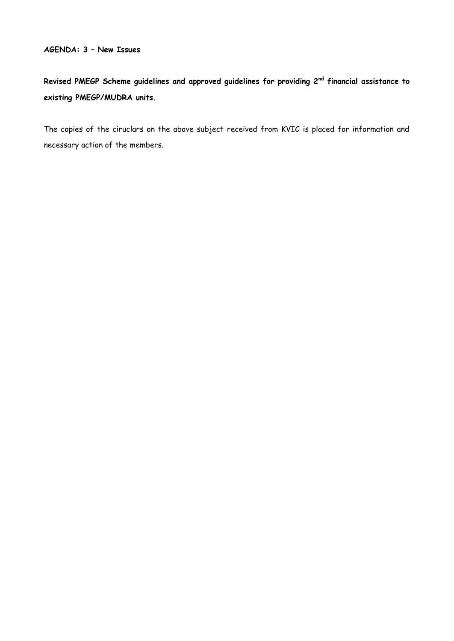## **AGENDA: 3 – New Issues**

**Revised PMEGP Scheme guidelines and approved guidelines for providing 2nd financial assistance to existing PMEGP/MUDRA units.**

The copies of the ciruclars on the above subject received from KVIC is placed for information and necessary action of the members.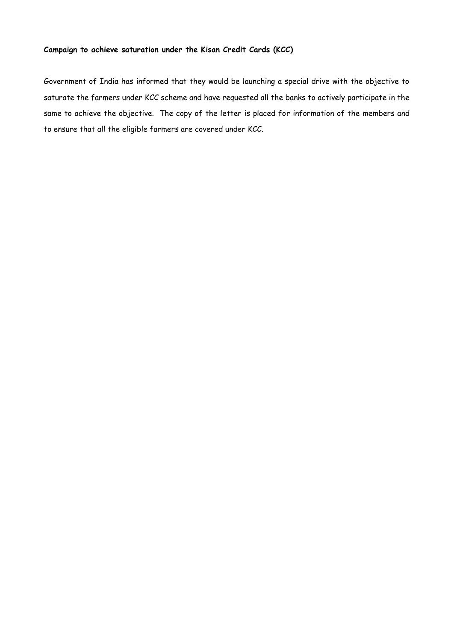## **Campaign to achieve saturation under the Kisan Credit Cards (KCC)**

Government of India has informed that they would be launching a special drive with the objective to saturate the farmers under KCC scheme and have requested all the banks to actively participate in the same to achieve the objective. The copy of the letter is placed for information of the members and to ensure that all the eligible farmers are covered under KCC.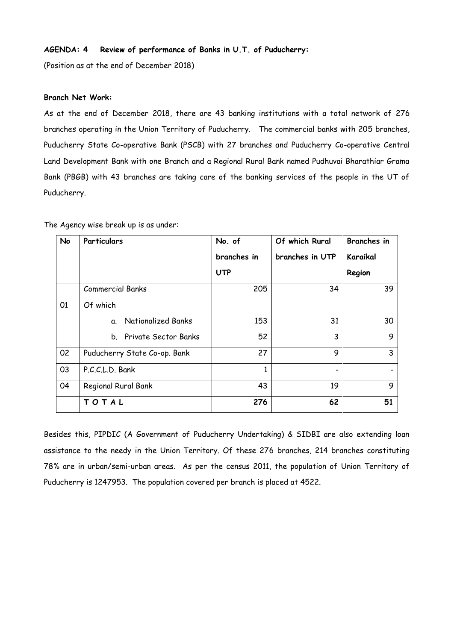## **AGENDA: 4 Review of performance of Banks in U.T. of Puducherry:**

(Position as at the end of December 2018)

## **Branch Net Work:**

As at the end of December 2018, there are 43 banking institutions with a total network of 276 branches operating in the Union Territory of Puducherry. The commercial banks with 205 branches, Puducherry State Co-operative Bank (PSCB) with 27 branches and Puducherry Co-operative Central Land Development Bank with one Branch and a Regional Rural Bank named Pudhuvai Bharathiar Grama Bank (PBGB) with 43 branches are taking care of the banking services of the people in the UT of Puducherry.

| No | Particulars                     | No. of      | Of which Rural  | <b>Branches</b> in |
|----|---------------------------------|-------------|-----------------|--------------------|
|    |                                 | branches in | branches in UTP | Karaikal           |
|    |                                 | <b>UTP</b>  |                 | Region             |
|    | <b>Commercial Banks</b>         | 205         | 34              | 39                 |
| 01 | Of which                        |             |                 |                    |
|    | <b>Nationalized Banks</b><br>a. | 153         | 31              | 30                 |
|    | b. Private Sector Banks         | 52          | 3               | 9                  |
| 02 | Puducherry State Co-op. Bank    | 27          | 9               | 3                  |
| 03 | P.C.C.L.D. Bank                 | 1           |                 |                    |
| 04 | Regional Rural Bank             | 43          | 19              | 9                  |
|    | TOTAL                           | 276         | 62              | 51                 |

The Agency wise break up is as under:

Besides this, PIPDIC (A Government of Puducherry Undertaking) & SIDBI are also extending loan assistance to the needy in the Union Territory. Of these 276 branches, 214 branches constituting 78% are in urban/semi-urban areas. As per the census 2011, the population of Union Territory of Puducherry is 1247953. The population covered per branch is placed at 4522.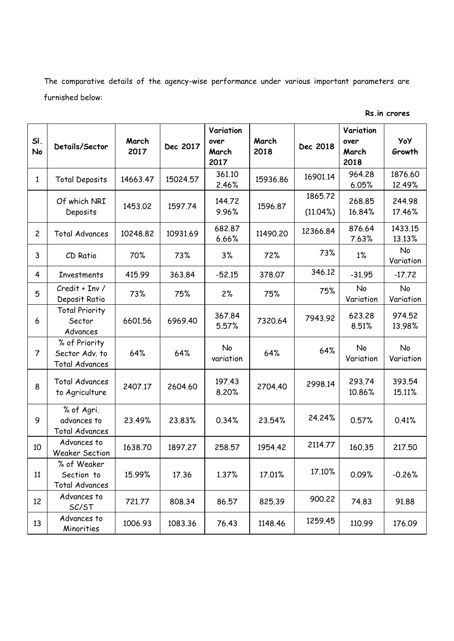The comparative details of the agency-wise performance under various important parameters are furnished below:

| SI.<br>No      | Details/Sector                                           | March<br>2017 | Dec 2017 | Variation<br>over<br>March<br>2017 | March<br>2018 | Dec 2018               | Variation<br>over<br>March<br>2018 | YoY<br>Growth          |
|----------------|----------------------------------------------------------|---------------|----------|------------------------------------|---------------|------------------------|------------------------------------|------------------------|
| $\mathbf{1}$   | <b>Total Deposits</b>                                    | 14663.47      | 15024.57 | 361.10<br>2.46%                    | 15936.86      | 16901.14               | 964.28<br>6.05%                    | 1876.60<br>12.49%      |
|                | Of which NRI<br>Deposits                                 | 1453.02       | 1597.74  | 144.72<br>9.96%                    | 1596.87       | 1865.72<br>$(11.04\%)$ | 268.85<br>16.84%                   | 244.98<br>17.46%       |
| $\overline{c}$ | <b>Total Advances</b>                                    | 10248.82      | 10931.69 | 682.87<br>6.66%                    | 11490.20      | 12366.84               | 876.64<br>7.63%                    | 1433.15<br>13.13%      |
| 3              | CD Ratio                                                 | 70%           | 73%      | 3%                                 | 72%           | 73%                    | $1\%$                              | No<br>Variation        |
| 4              | <b>Investments</b>                                       | 415.99        | 363.84   | $-52.15$                           | 378.07        | 346.12                 | $-31.95$                           | $-17.72$               |
| 5              | Credit + Inv /<br>Deposit Ratio                          | 73%           | 75%      | 2%                                 | 75%           | 75%                    | No<br>Variation                    | No<br>Variation        |
| 6              | <b>Total Priority</b><br>Sector<br>Advances              | 6601.56       | 6969.40  | 367.84<br>5.57%                    | 7320.64       | 7943.92                | 623.28<br>8.51%                    | 974.52<br>13.98%       |
| $\overline{7}$ | % of Priority<br>Sector Adv. to<br><b>Total Advances</b> | 64%           | 64%      | No<br>variation                    | 64%           | 64%                    | No<br>Variation                    | <b>No</b><br>Variation |
| 8              | <b>Total Advances</b><br>to Agriculture                  | 2407.17       | 2604.60  | 197.43<br>8.20%                    | 2704.40       | 2998.14                | 293.74<br>10.86%                   | 393.54<br>15.11%       |
| 9              | % of Agri.<br>advances to<br><b>Total Advances</b>       | 23.49%        | 23.83%   | 0.34%                              | 23.54%        | 24.24%                 | 0.57%                              | 0.41%                  |
| 10             | Advances to<br>Weaker Section                            | 1638.70       | 1897.27  | 258.57                             | 1954.42       | 2114.77                | 160.35                             | 217.50                 |
| 11             | % of Weaker<br>Section to<br><b>Total Advances</b>       | 15.99%        | 17.36    | 1.37%                              | 17.01%        | 17.10%                 | 0.09%                              | $-0.26%$               |
| 12             | Advances to<br>SC/ST                                     | 721.77        | 808.34   | 86.57                              | 825.39        | 900.22                 | 74.83                              | 91.88                  |
| 13             | Advances to<br>Minorities                                | 1006.93       | 1083.36  | 76.43                              | 1148.46       | 1259.45                | 110.99                             | 176.09                 |

**Rs.in crores**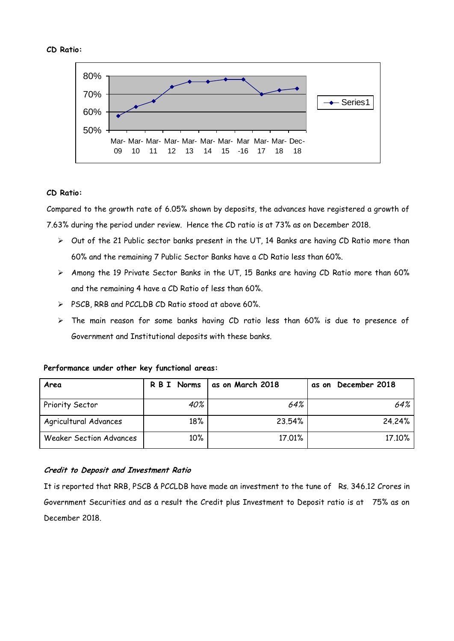#### **CD Ratio:**



## **CD Ratio:**

Compared to the growth rate of 6.05% shown by deposits, the advances have registered a growth of 7.63% during the period under review. Hence the CD ratio is at 73% as on December 2018.

- $\triangleright$  Out of the 21 Public sector banks present in the UT, 14 Banks are having CD Ratio more than 60% and the remaining 7 Public Sector Banks have a CD Ratio less than 60%.
- $\triangleright$  Among the 19 Private Sector Banks in the UT, 15 Banks are having CD Ratio more than 60% and the remaining 4 have a CD Ratio of less than 60%.
- PSCB, RRB and PCCLDB CD Ratio stood at above 60%.
- $\triangleright$  The main reason for some banks having CD ratio less than 60% is due to presence of Government and Institutional deposits with these banks.

| Area                           | R B I Norms | as on March 2018 | as on December 2018 |
|--------------------------------|-------------|------------------|---------------------|
| Priority Sector                | 40%         | 64%              | 64%                 |
| Agricultural Advances          | 18%         | 23.54%           | 24.24%              |
| <b>Weaker Section Advances</b> | $10\%$      | 17.01%           | 17.10%              |

## **Performance under other key functional areas:**

## **Credit to Deposit and Investment Ratio**

It is reported that RRB, PSCB & PCCLDB have made an investment to the tune of Rs. 346.12 Crores in Government Securities and as a result the Credit plus Investment to Deposit ratio is at 75% as on December 2018.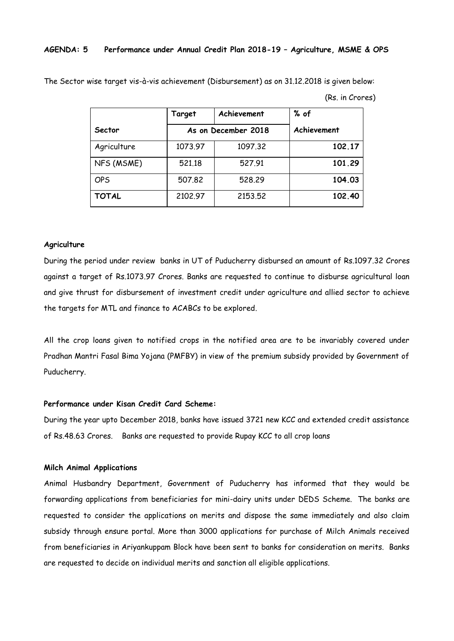## **AGENDA: 5 Performance under Annual Credit Plan 2018-19 – Agriculture, MSME & OPS**

The Sector wise target vis-à-vis achievement (Disbursement) as on 31.12.2018 is given below:

(Rs. in Crores)

|              | Target  | Achievement         | % of        |
|--------------|---------|---------------------|-------------|
| Sector       |         | As on December 2018 | Achievement |
| Agriculture  | 1073.97 | 1097.32             | 102.17      |
| NFS (MSME)   | 521.18  | 527.91              | 101.29      |
| <b>OPS</b>   | 507.82  | 528,29              | 104.03      |
| <b>TOTAL</b> | 2102.97 | 2153.52             | 102.40      |

#### **Agriculture**

During the period under review banks in UT of Puducherry disbursed an amount of Rs.1097.32 Crores against a target of Rs.1073.97 Crores. Banks are requested to continue to disburse agricultural loan and give thrust for disbursement of investment credit under agriculture and allied sector to achieve the targets for MTL and finance to ACABCs to be explored.

All the crop loans given to notified crops in the notified area are to be invariably covered under Pradhan Mantri Fasal Bima Yojana (PMFBY) in view of the premium subsidy provided by Government of Puducherry.

## **Performance under Kisan Credit Card Scheme:**

During the year upto December 2018, banks have issued 3721 new KCC and extended credit assistance of Rs.48.63 Crores. Banks are requested to provide Rupay KCC to all crop loans

#### **Milch Animal Applications**

Animal Husbandry Department, Government of Puducherry has informed that they would be forwarding applications from beneficiaries for mini-dairy units under DEDS Scheme. The banks are requested to consider the applications on merits and dispose the same immediately and also claim subsidy through ensure portal. More than 3000 applications for purchase of Milch Animals received from beneficiaries in Ariyankuppam Block have been sent to banks for consideration on merits. Banks are requested to decide on individual merits and sanction all eligible applications.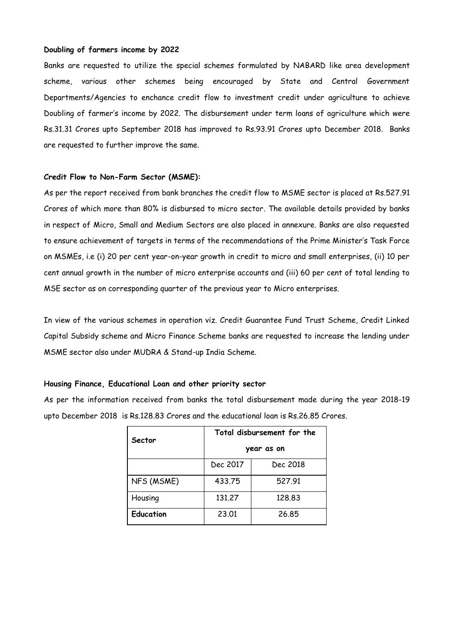### **Doubling of farmers income by 2022**

Banks are requested to utilize the special schemes formulated by NABARD like area development scheme, various other schemes being encouraged by State and Central Government Departments/Agencies to enchance credit flow to investment credit under agriculture to achieve Doubling of farmer's income by 2022. The disbursement under term loans of agriculture which were Rs.31.31 Crores upto September 2018 has improved to Rs.93.91 Crores upto December 2018. Banks are requested to further improve the same.

#### **Credit Flow to Non-Farm Sector (MSME):**

As per the report received from bank branches the credit flow to MSME sector is placed at Rs.527.91 Crores of which more than 80% is disbursed to micro sector. The available details provided by banks in respect of Micro, Small and Medium Sectors are also placed in annexure. Banks are also requested to ensure achievement of targets in terms of the recommendations of the Prime Minister's Task Force on MSMEs, i.e (i) 20 per cent year-on-year growth in credit to micro and small enterprises, (ii) 10 per cent annual growth in the number of micro enterprise accounts and (iii) 60 per cent of total lending to MSE sector as on corresponding quarter of the previous year to Micro enterprises.

In view of the various schemes in operation viz. Credit Guarantee Fund Trust Scheme, Credit Linked Capital Subsidy scheme and Micro Finance Scheme banks are requested to increase the lending under MSME sector also under MUDRA & Stand-up India Scheme.

#### **Housing Finance, Educational Loan and other priority sector**

As per the information received from banks the total disbursement made during the year 2018-19 upto December 2018 is Rs.128.83 Crores and the educational loan is Rs.26.85 Crores.

| Sector           | Total disbursement for the |          |  |  |
|------------------|----------------------------|----------|--|--|
|                  | year as on                 |          |  |  |
|                  | Dec 2017                   | Dec 2018 |  |  |
| NFS (MSME)       | 433.75                     | 527.91   |  |  |
| Housing          | 131,27                     | 128,83   |  |  |
| <b>Education</b> | 23,01                      | 26,85    |  |  |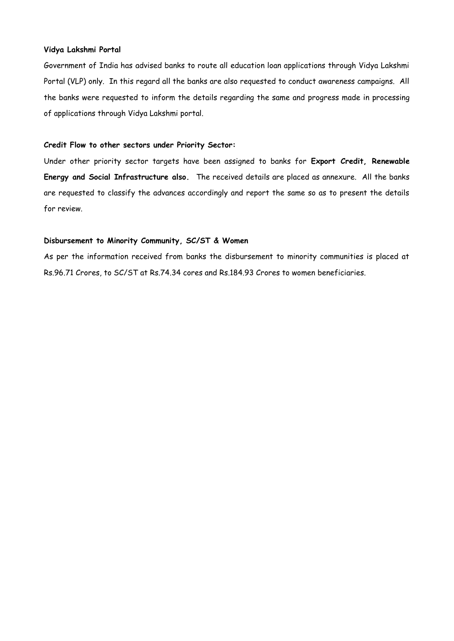## **Vidya Lakshmi Portal**

Government of India has advised banks to route all education loan applications through Vidya Lakshmi Portal (VLP) only. In this regard all the banks are also requested to conduct awareness campaigns. All the banks were requested to inform the details regarding the same and progress made in processing of applications through Vidya Lakshmi portal.

## **Credit Flow to other sectors under Priority Sector:**

Under other priority sector targets have been assigned to banks for **Export Credit, Renewable Energy and Social Infrastructure also.** The received details are placed as annexure. All the banks are requested to classify the advances accordingly and report the same so as to present the details for review.

### **Disbursement to Minority Community, SC/ST & Women**

As per the information received from banks the disbursement to minority communities is placed at Rs.96.71 Crores, to SC/ST at Rs.74.34 cores and Rs.184.93 Crores to women beneficiaries.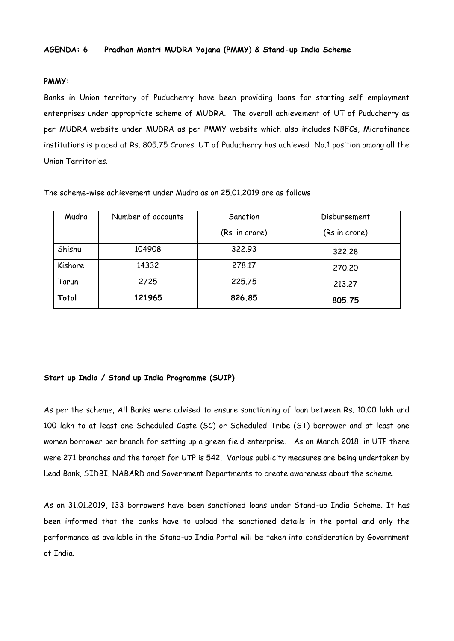## **PMMY:**

Banks in Union territory of Puducherry have been providing loans for starting self employment enterprises under appropriate scheme of MUDRA. The overall achievement of UT of Puducherry as per MUDRA website under MUDRA as per PMMY website which also includes NBFCs, Microfinance institutions is placed at Rs. 805.75 Crores. UT of Puducherry has achieved No.1 position among all the Union Territories.

The scheme-wise achievement under Mudra as on 25.01.2019 are as follows

| Mudra   | Number of accounts | Sanction       | Disbursement  |
|---------|--------------------|----------------|---------------|
|         |                    | (Rs. in crore) | (Rs in crore) |
| Shishu  | 104908             | 322.93         | 322,28        |
| Kishore | 14332              | 278.17         | 270,20        |
| Tarun   | 2725               | 225,75         | 213,27        |
| Total   | 121965             | 826.85         | 805.75        |

#### **Start up India / Stand up India Programme (SUIP)**

As per the scheme, All Banks were advised to ensure sanctioning of loan between Rs. 10.00 lakh and 100 lakh to at least one Scheduled Caste (SC) or Scheduled Tribe (ST) borrower and at least one women borrower per branch for setting up a green field enterprise. As on March 2018, in UTP there were 271 branches and the target for UTP is 542. Various publicity measures are being undertaken by Lead Bank, SIDBI, NABARD and Government Departments to create awareness about the scheme.

As on 31.01.2019, 133 borrowers have been sanctioned loans under Stand-up India Scheme. It has been informed that the banks have to upload the sanctioned details in the portal and only the performance as available in the Stand-up India Portal will be taken into consideration by Government of India.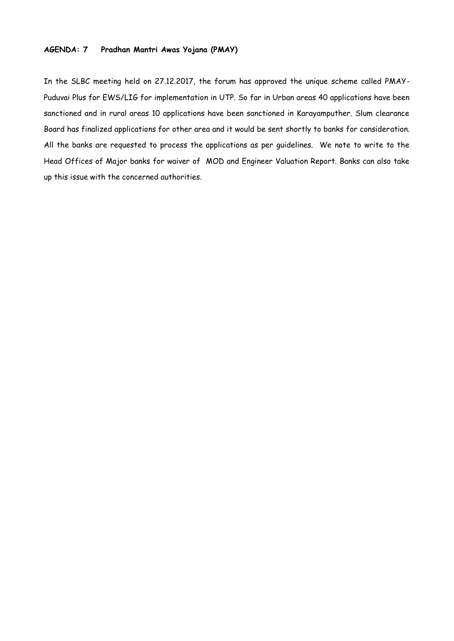## **AGENDA: 7 Pradhan Mantri Awas Yojana (PMAY)**

In the SLBC meeting held on 27.12.2017, the forum has approved the unique scheme called PMAY-Puduvai Plus for EWS/LIG for implementation in UTP. So far in Urban areas 40 applications have been sanctioned and in rural areas 10 applications have been sanctioned in Karayamputher. Slum clearance Board has finalized applications for other area and it would be sent shortly to banks for consideration. All the banks are requested to process the applications as per guidelines. We note to write to the Head Offices of Major banks for waiver of MOD and Engineer Valuation Report. Banks can also take up this issue with the concerned authorities.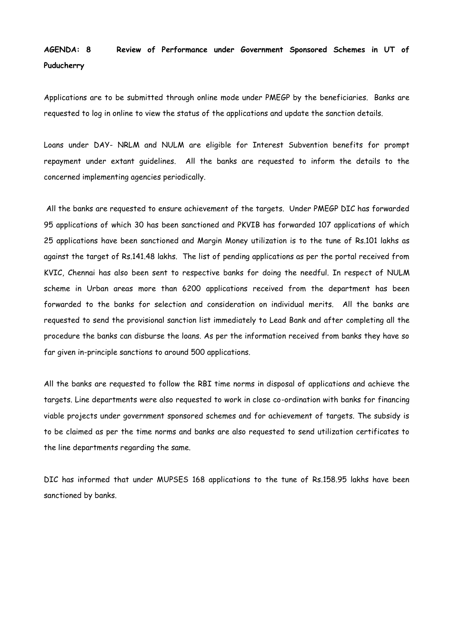# **AGENDA: 8 Review of Performance under Government Sponsored Schemes in UT of Puducherry**

Applications are to be submitted through online mode under PMEGP by the beneficiaries. Banks are requested to log in online to view the status of the applications and update the sanction details.

Loans under DAY- NRLM and NULM are eligible for Interest Subvention benefits for prompt repayment under extant guidelines. All the banks are requested to inform the details to the concerned implementing agencies periodically.

All the banks are requested to ensure achievement of the targets. Under PMEGP DIC has forwarded 95 applications of which 30 has been sanctioned and PKVIB has forwarded 107 applications of which 25 applications have been sanctioned and Margin Money utilization is to the tune of Rs.101 lakhs as against the target of Rs.141.48 lakhs. The list of pending applications as per the portal received from KVIC, Chennai has also been sent to respective banks for doing the needful. In respect of NULM scheme in Urban areas more than 6200 applications received from the department has been forwarded to the banks for selection and consideration on individual merits. All the banks are requested to send the provisional sanction list immediately to Lead Bank and after completing all the procedure the banks can disburse the loans. As per the information received from banks they have so far given in-principle sanctions to around 500 applications.

All the banks are requested to follow the RBI time norms in disposal of applications and achieve the targets. Line departments were also requested to work in close co-ordination with banks for financing viable projects under government sponsored schemes and for achievement of targets. The subsidy is to be claimed as per the time norms and banks are also requested to send utilization certificates to the line departments regarding the same.

DIC has informed that under MUPSES 168 applications to the tune of Rs.158.95 lakhs have been sanctioned by banks.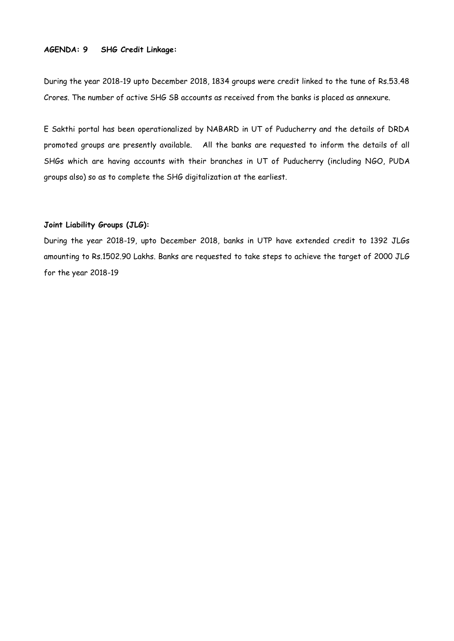## **AGENDA: 9 SHG Credit Linkage:**

During the year 2018-19 upto December 2018, 1834 groups were credit linked to the tune of Rs.53.48 Crores. The number of active SHG SB accounts as received from the banks is placed as annexure.

E Sakthi portal has been operationalized by NABARD in UT of Puducherry and the details of DRDA promoted groups are presently available. All the banks are requested to inform the details of all SHGs which are having accounts with their branches in UT of Puducherry (including NGO, PUDA groups also) so as to complete the SHG digitalization at the earliest.

## **Joint Liability Groups (JLG):**

During the year 2018-19, upto December 2018, banks in UTP have extended credit to 1392 JLGs amounting to Rs.1502.90 Lakhs. Banks are requested to take steps to achieve the target of 2000 JLG for the year 2018-19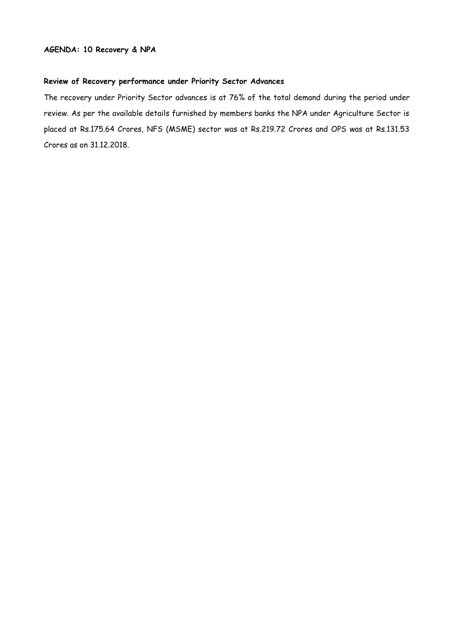## **Review of Recovery performance under Priority Sector Advances**

The recovery under Priority Sector advances is at 76% of the total demand during the period under review. As per the available details furnished by members banks the NPA under Agriculture Sector is placed at Rs.175.64 Crores, NFS (MSME) sector was at Rs.219.72 Crores and OPS was at Rs.131.53 Crores as on 31.12.2018.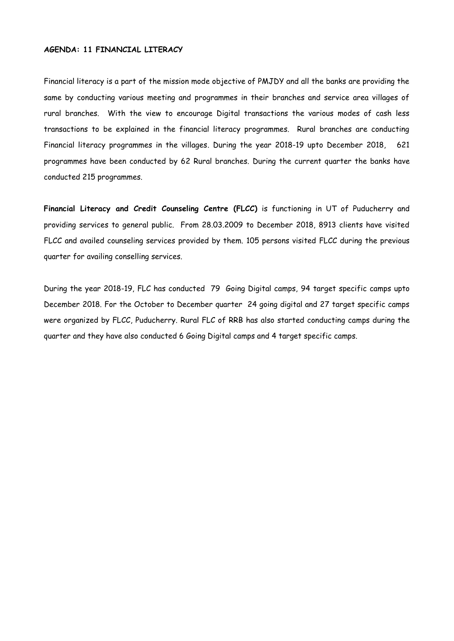## **AGENDA: 11 FINANCIAL LITERACY**

Financial literacy is a part of the mission mode objective of PMJDY and all the banks are providing the same by conducting various meeting and programmes in their branches and service area villages of rural branches. With the view to encourage Digital transactions the various modes of cash less transactions to be explained in the financial literacy programmes. Rural branches are conducting Financial literacy programmes in the villages. During the year 2018-19 upto December 2018, 621 programmes have been conducted by 62 Rural branches. During the current quarter the banks have conducted 215 programmes.

**Financial Literacy and Credit Counseling Centre (FLCC)** is functioning in UT of Puducherry and providing services to general public. From 28.03.2009 to December 2018, 8913 clients have visited FLCC and availed counseling services provided by them. 105 persons visited FLCC during the previous quarter for availing conselling services.

During the year 2018-19, FLC has conducted 79 Going Digital camps, 94 target specific camps upto December 2018. For the October to December quarter 24 going digital and 27 target specific camps were organized by FLCC, Puducherry. Rural FLC of RRB has also started conducting camps during the quarter and they have also conducted 6 Going Digital camps and 4 target specific camps.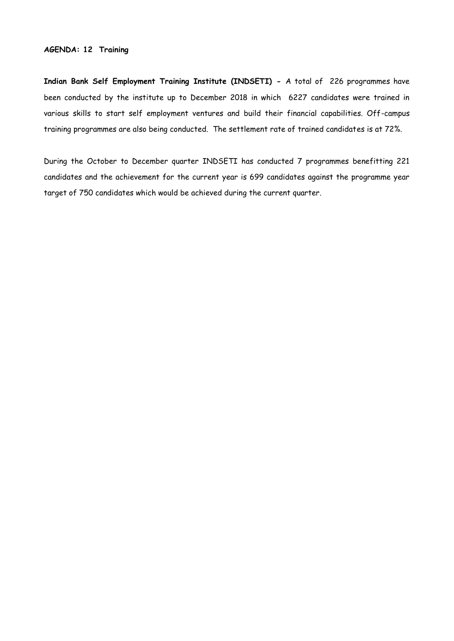## **AGENDA: 12 Training**

**Indian Bank Self Employment Training Institute (INDSETI) -** A total of 226 programmes have been conducted by the institute up to December 2018 in which 6227 candidates were trained in various skills to start self employment ventures and build their financial capabilities. Off-campus training programmes are also being conducted. The settlement rate of trained candidates is at 72%.

During the October to December quarter INDSETI has conducted 7 programmes benefitting 221 candidates and the achievement for the current year is 699 candidates against the programme year target of 750 candidates which would be achieved during the current quarter.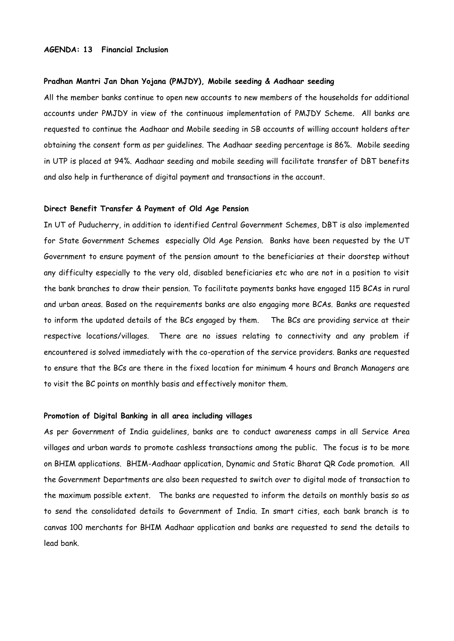#### **AGENDA: 13 Financial Inclusion**

#### **Pradhan Mantri Jan Dhan Yojana (PMJDY), Mobile seeding & Aadhaar seeding**

All the member banks continue to open new accounts to new members of the households for additional accounts under PMJDY in view of the continuous implementation of PMJDY Scheme. All banks are requested to continue the Aadhaar and Mobile seeding in SB accounts of willing account holders after obtaining the consent form as per guidelines. The Aadhaar seeding percentage is 86%. Mobile seeding in UTP is placed at 94%. Aadhaar seeding and mobile seeding will facilitate transfer of DBT benefits and also help in furtherance of digital payment and transactions in the account.

#### **Direct Benefit Transfer & Payment of Old Age Pension**

In UT of Puducherry, in addition to identified Central Government Schemes, DBT is also implemented for State Government Schemes especially Old Age Pension. Banks have been requested by the UT Government to ensure payment of the pension amount to the beneficiaries at their doorstep without any difficulty especially to the very old, disabled beneficiaries etc who are not in a position to visit the bank branches to draw their pension. To facilitate payments banks have engaged 115 BCAs in rural and urban areas. Based on the requirements banks are also engaging more BCAs. Banks are requested to inform the updated details of the BCs engaged by them. The BCs are providing service at their respective locations/villages. There are no issues relating to connectivity and any problem if encountered is solved immediately with the co-operation of the service providers. Banks are requested to ensure that the BCs are there in the fixed location for minimum 4 hours and Branch Managers are to visit the BC points on monthly basis and effectively monitor them.

#### **Promotion of Digital Banking in all area including villages**

As per Government of India guidelines, banks are to conduct awareness camps in all Service Area villages and urban wards to promote cashless transactions among the public. The focus is to be more on BHIM applications. BHIM-Aadhaar application, Dynamic and Static Bharat QR Code promotion. All the Government Departments are also been requested to switch over to digital mode of transaction to the maximum possible extent. The banks are requested to inform the details on monthly basis so as to send the consolidated details to Government of India. In smart cities, each bank branch is to canvas 100 merchants for BHIM Aadhaar application and banks are requested to send the details to lead bank.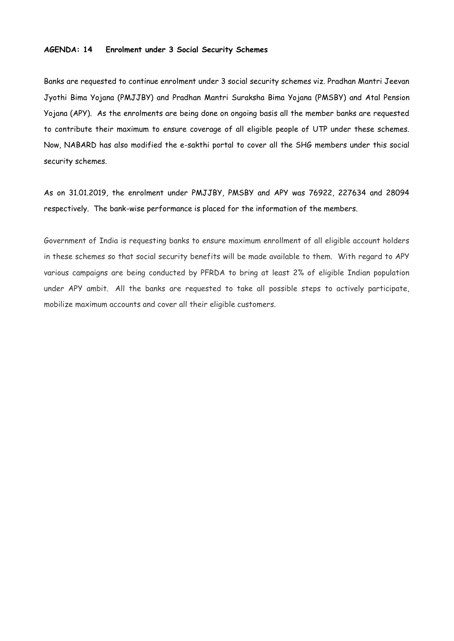## **AGENDA: 14 Enrolment under 3 Social Security Schemes**

Banks are requested to continue enrolment under 3 social security schemes viz. Pradhan Mantri Jeevan Jyothi Bima Yojana (PMJJBY) and Pradhan Mantri Suraksha Bima Yojana (PMSBY) and Atal Pension Yojana (APY). As the enrolments are being done on ongoing basis all the member banks are requested to contribute their maximum to ensure coverage of all eligible people of UTP under these schemes. Now, NABARD has also modified the e-sakthi portal to cover all the SHG members under this social security schemes.

As on 31.01.2019, the enrolment under PMJJBY, PMSBY and APY was 76922, 227634 and 28094 respectively. The bank-wise performance is placed for the information of the members.

Government of India is requesting banks to ensure maximum enrollment of all eligible account holders in these schemes so that social security benefits will be made available to them. With regard to APY various campaigns are being conducted by PFRDA to bring at least 2% of eligible Indian population under APY ambit. All the banks are requested to take all possible steps to actively participate, mobilize maximum accounts and cover all their eligible customers.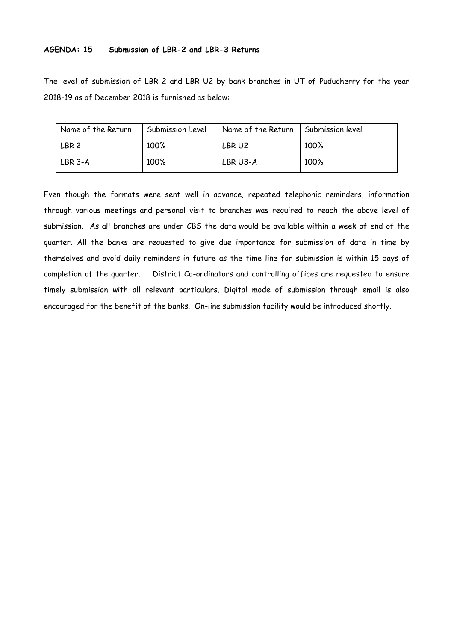## **AGENDA: 15 Submission of LBR-2 and LBR-3 Returns**

The level of submission of LBR 2 and LBR U2 by bank branches in UT of Puducherry for the year 2018-19 as of December 2018 is furnished as below:

| Name of the Return | Submission Level | Name of the Return | Submission level |
|--------------------|------------------|--------------------|------------------|
| LBR <sub>2</sub>   | 100%             | LBR U2             | 100%             |
| LBR 3-A            | 100%             | $LBR$ U3-A         | 100%             |

Even though the formats were sent well in advance, repeated telephonic reminders, information through various meetings and personal visit to branches was required to reach the above level of submission. As all branches are under CBS the data would be available within a week of end of the quarter. All the banks are requested to give due importance for submission of data in time by themselves and avoid daily reminders in future as the time line for submission is within 15 days of completion of the quarter. District Co-ordinators and controlling offices are requested to ensure timely submission with all relevant particulars. Digital mode of submission through email is also encouraged for the benefit of the banks. On-line submission facility would be introduced shortly.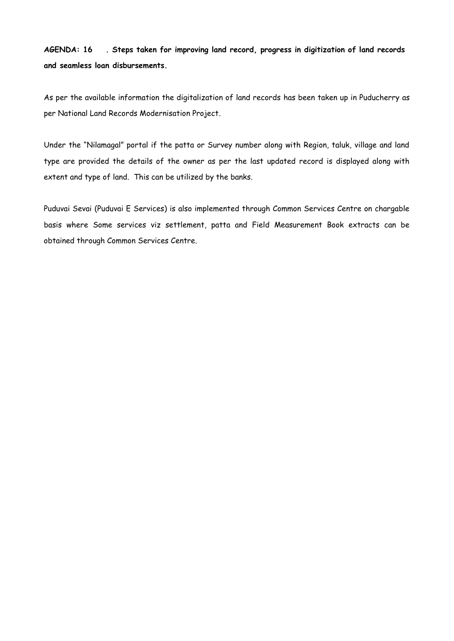**AGENDA: 16 . Steps taken for improving land record, progress in digitization of land records and seamless loan disbursements.** 

As per the available information the digitalization of land records has been taken up in Puducherry as per National Land Records Modernisation Project.

Under the "Nilamagal" portal if the patta or Survey number along with Region, taluk, village and land type are provided the details of the owner as per the last updated record is displayed along with extent and type of land. This can be utilized by the banks.

Puduvai Sevai (Puduvai E Services) is also implemented through Common Services Centre on chargable basis where Some services viz settlement, patta and Field Measurement Book extracts can be obtained through Common Services Centre.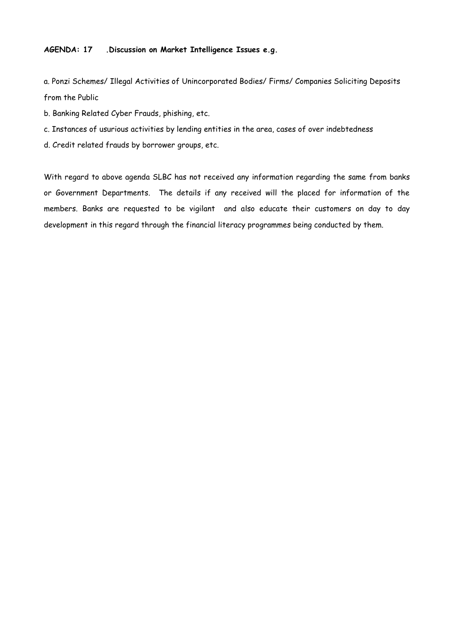## **AGENDA: 17 .Discussion on Market Intelligence Issues e.g.**

a. Ponzi Schemes/ Illegal Activities of Unincorporated Bodies/ Firms/ Companies Soliciting Deposits from the Public

- b. Banking Related Cyber Frauds, phishing, etc.
- c. Instances of usurious activities by lending entities in the area, cases of over indebtedness
- d. Credit related frauds by borrower groups, etc.

With regard to above agenda SLBC has not received any information regarding the same from banks or Government Departments. The details if any received will the placed for information of the members. Banks are requested to be vigilant and also educate their customers on day to day development in this regard through the financial literacy programmes being conducted by them.